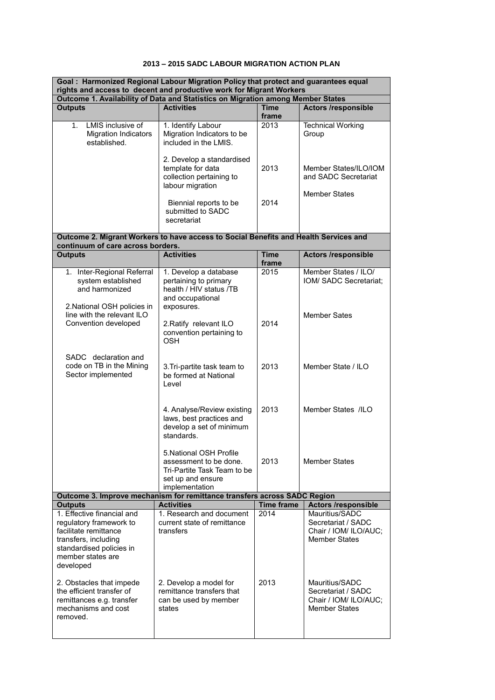## **2013 – 2015 SADC LABOUR MIGRATION ACTION PLAN**

| Goal: Harmonized Regional Labour Migration Policy that protect and guarantees equal<br>rights and access to decent and productive work for Migrant Workers           |                                                                                                                         |                      |                                                                                       |  |  |
|----------------------------------------------------------------------------------------------------------------------------------------------------------------------|-------------------------------------------------------------------------------------------------------------------------|----------------------|---------------------------------------------------------------------------------------|--|--|
| Outcome 1. Availability of Data and Statistics on Migration among Member States                                                                                      |                                                                                                                         |                      |                                                                                       |  |  |
| <b>Outputs</b>                                                                                                                                                       | <b>Activities</b>                                                                                                       | <b>Time</b><br>frame | <b>Actors /responsible</b>                                                            |  |  |
| LMIS inclusive of<br>1.<br><b>Migration Indicators</b><br>established.                                                                                               | 1. Identify Labour<br>Migration Indicators to be<br>included in the LMIS.                                               | 2013                 | <b>Technical Working</b><br>Group                                                     |  |  |
|                                                                                                                                                                      | 2. Develop a standardised<br>template for data<br>collection pertaining to<br>labour migration                          | 2013                 | Member States/ILO/IOM<br>and SADC Secretariat                                         |  |  |
|                                                                                                                                                                      | Biennial reports to be<br>submitted to SADC<br>secretariat                                                              | 2014                 | <b>Member States</b>                                                                  |  |  |
| Outcome 2. Migrant Workers to have access to Social Benefits and Health Services and<br>continuum of care across borders.                                            |                                                                                                                         |                      |                                                                                       |  |  |
| <b>Outputs</b>                                                                                                                                                       | <b>Activities</b>                                                                                                       | <b>Time</b><br>frame | <b>Actors /responsible</b>                                                            |  |  |
| 1. Inter-Regional Referral<br>system established<br>and harmonized<br>2. National OSH policies in                                                                    | 1. Develop a database<br>pertaining to primary<br>health / HIV status /TB<br>and occupational<br>exposures.             | 2015                 | Member States / ILO/<br>IOM/ SADC Secretariat;                                        |  |  |
| line with the relevant ILO<br>Convention developed                                                                                                                   | 2. Ratify relevant ILO<br>convention pertaining to<br><b>OSH</b>                                                        | 2014                 | <b>Member Sates</b>                                                                   |  |  |
| SADC declaration and<br>code on TB in the Mining<br>Sector implemented                                                                                               | 3. Tri-partite task team to<br>be formed at National<br>Level                                                           | 2013                 | Member State / ILO                                                                    |  |  |
|                                                                                                                                                                      | 4. Analyse/Review existing<br>laws, best practices and<br>develop a set of minimum<br>standards.                        | 2013                 | Member States /ILO                                                                    |  |  |
|                                                                                                                                                                      | 5. National OSH Profile<br>assessment to be done.<br>Tri-Partite Task Team to be<br>set up and ensure<br>implementation | 2013                 | <b>Member States</b>                                                                  |  |  |
| Outcome 3. Improve mechanism for remittance transfers across SADC Region                                                                                             |                                                                                                                         |                      |                                                                                       |  |  |
| <b>Outputs</b>                                                                                                                                                       | <b>Activities</b>                                                                                                       | <b>Time frame</b>    | <b>Actors /responsible</b>                                                            |  |  |
| 1. Effective financial and<br>regulatory framework to<br>facilitate remittance<br>transfers, including<br>standardised policies in<br>member states are<br>developed | 1. Research and document<br>current state of remittance<br>transfers                                                    | 2014                 | Mauritius/SADC<br>Secretariat / SADC<br>Chair / IOM/ ILO/AUC;<br><b>Member States</b> |  |  |
| 2. Obstacles that impede<br>the efficient transfer of<br>remittances e.g. transfer<br>mechanisms and cost<br>removed.                                                | 2. Develop a model for<br>remittance transfers that<br>can be used by member<br>states                                  | 2013                 | Mauritius/SADC<br>Secretariat / SADC<br>Chair / IOM/ ILO/AUC;<br><b>Member States</b> |  |  |